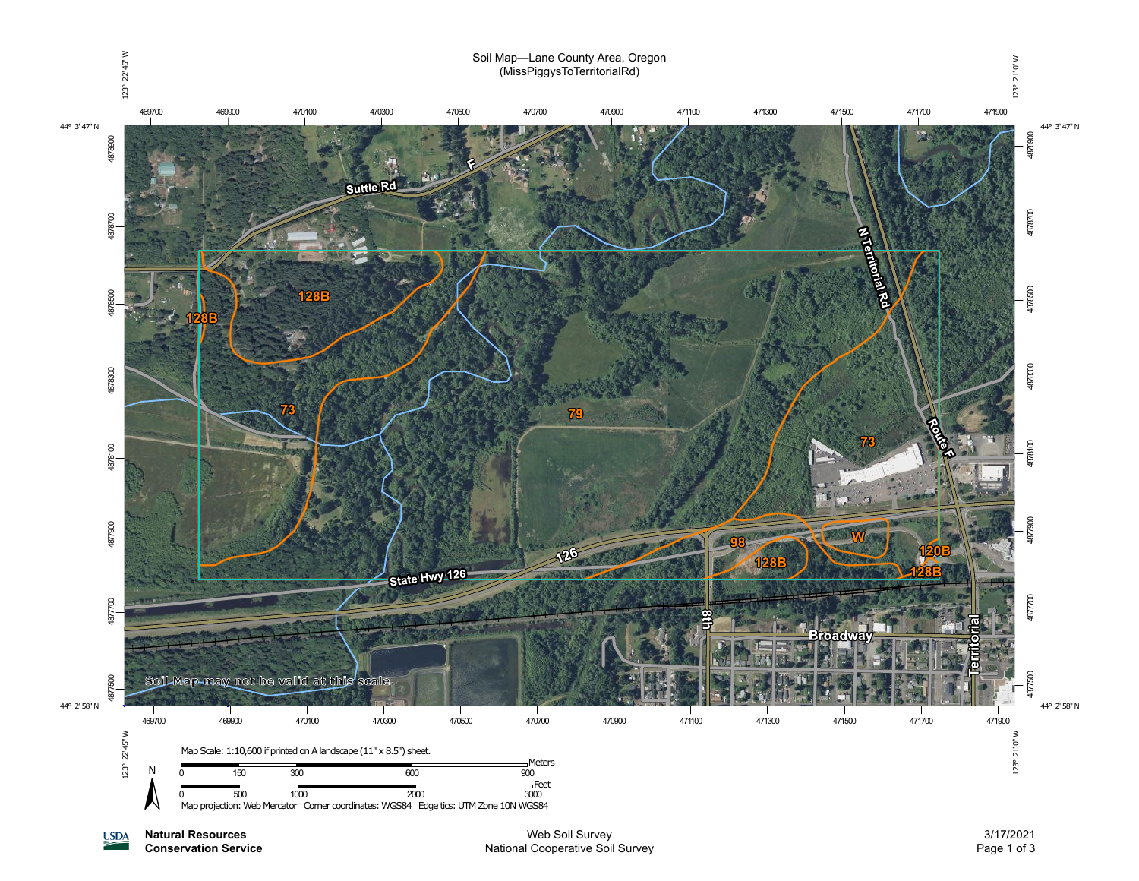

**Natural Resources USDA** 

**Conservation Service**

3/17/2021 Page 1 of 3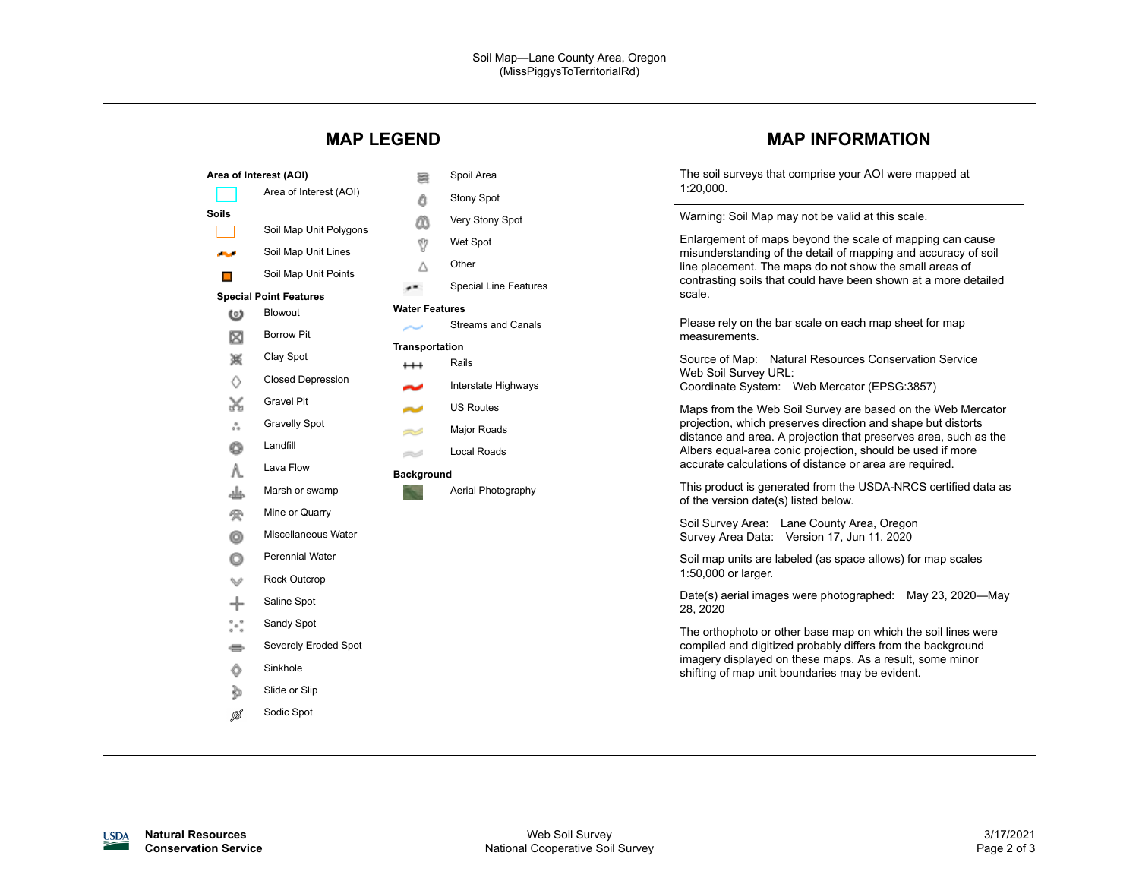|                                                                                                                                                                                                                                         | <b>MAP LEGEND</b>                                                                                                                                                                                                                                                                                                                                                                                                                                  | <b>MAP INFORMATION</b>                                                                                                                                                                                                                                                                                                                                                                                                                                                                                                                                                                                                                                                                                                                                                                                        |
|-----------------------------------------------------------------------------------------------------------------------------------------------------------------------------------------------------------------------------------------|----------------------------------------------------------------------------------------------------------------------------------------------------------------------------------------------------------------------------------------------------------------------------------------------------------------------------------------------------------------------------------------------------------------------------------------------------|---------------------------------------------------------------------------------------------------------------------------------------------------------------------------------------------------------------------------------------------------------------------------------------------------------------------------------------------------------------------------------------------------------------------------------------------------------------------------------------------------------------------------------------------------------------------------------------------------------------------------------------------------------------------------------------------------------------------------------------------------------------------------------------------------------------|
| Area of Interest (AOI)<br><b>Soils</b><br>المحالي<br>П<br><b>Special Point Features</b><br>Blowout<br>$\omega$<br><b>Borrow Pit</b><br>⊠<br>嵏<br>Clay Spot<br>♦<br>Gravel Pit<br>X<br><b>Gravelly Spot</b><br>ឹ                         | Spoil Area<br>≋<br>Area of Interest (AOI)<br>Δ<br><b>Stony Spot</b><br>Very Stony Spot<br>m<br>Soil Map Unit Polygons<br>Ŷ<br>Wet Spot<br>Soil Map Unit Lines<br>Other<br>Δ<br>Soil Map Unit Points<br><b>Special Line Features</b><br>$\epsilon$<br><b>Water Features</b><br><b>Streams and Canals</b><br>Transportation<br>Rails<br>$^{\rm ++}$<br><b>Closed Depression</b><br>Interstate Highways<br>๛<br><b>US Routes</b><br>Major Roads<br>23 | The soil surveys that comprise your AOI were mapped at<br>1:20,000.<br>Warning: Soil Map may not be valid at this scale.<br>Enlargement of maps beyond the scale of mapping can cause<br>misunderstanding of the detail of mapping and accuracy of soil<br>line placement. The maps do not show the small areas of<br>contrasting soils that could have been shown at a more detailed<br>scale.<br>Please rely on the bar scale on each map sheet for map<br>measurements.<br>Source of Map: Natural Resources Conservation Service<br>Web Soil Survey URL:<br>Coordinate System: Web Mercator (EPSG:3857)<br>Maps from the Web Soil Survey are based on the Web Mercator<br>projection, which preserves direction and shape but distorts<br>distance and area. A projection that preserves area, such as the |
| Landfill<br>O<br>Lava Flow<br>Λ.<br>غلم<br>Mine or Quarry<br>參<br>o<br><b>Perennial Water</b><br>O<br>Rock Outcrop<br>Saline Spot<br>╇<br>$\degree\degree$<br>Sandy Spot<br>e<br>Sinkhole<br>Ô<br>Slide or Slip<br>Þ<br>Sodic Spot<br>Ø | <b>Local Roads</b><br>ez d<br><b>Background</b><br>Aerial Photography<br>Marsh or swamp<br>Miscellaneous Water<br>Severely Eroded Spot                                                                                                                                                                                                                                                                                                             | Albers equal-area conic projection, should be used if more<br>accurate calculations of distance or area are required.<br>This product is generated from the USDA-NRCS certified data as<br>of the version date(s) listed below.<br>Soil Survey Area: Lane County Area, Oregon<br>Survey Area Data: Version 17, Jun 11, 2020<br>Soil map units are labeled (as space allows) for map scales<br>1:50,000 or larger.<br>Date(s) aerial images were photographed: May 23, 2020-May<br>28, 2020<br>The orthophoto or other base map on which the soil lines were<br>compiled and digitized probably differs from the background<br>imagery displayed on these maps. As a result, some minor<br>shifting of map unit boundaries may be evident.                                                                     |